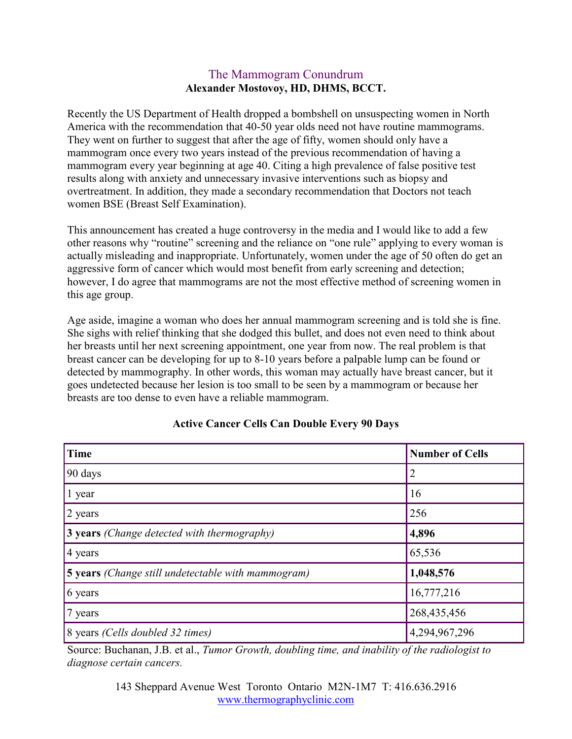## The Mammogram Conundrum Alexander Mostovoy, HD, DHMS, BCCT.

Recently the US Department of Health dropped a bombshell on unsuspecting women in North America with the recommendation that 40-50 year olds need not have routine mammograms. They went on further to suggest that after the age of fifty, women should only have a mammogram once every two years instead of the previous recommendation of having a mammogram every year beginning at age 40. Citing a high prevalence of false positive test results along with anxiety and unnecessary invasive interventions such as biopsy and overtreatment. In addition, they made a secondary recommendation that Doctors not teach women BSE (Breast Self Examination).

This announcement has created a huge controversy in the media and I would like to add a few other reasons why "routine" screening and the reliance on "one rule" applying to every woman is actually misleading and inappropriate. Unfortunately, women under the age of 50 often do get an aggressive form of cancer which would most benefit from early screening and detection; however, I do agree that mammograms are not the most effective method of screening women in this age group.

Age aside, imagine a woman who does her annual mammogram screening and is told she is fine. She sighs with relief thinking that she dodged this bullet, and does not even need to think about her breasts until her next screening appointment, one year from now. The real problem is that breast cancer can be developing for up to 8-10 years before a palpable lump can be found or detected by mammography. In other words, this woman may actually have breast cancer, but it goes undetected because her lesion is too small to be seen by a mammogram or because her breasts are too dense to even have a reliable mammogram.

| <b>Time</b>                                               | <b>Number of Cells</b> |
|-----------------------------------------------------------|------------------------|
| 90 days                                                   | $\overline{2}$         |
| 1 year                                                    | 16                     |
| 2 years                                                   | 256                    |
| <b>3 years</b> (Change detected with thermography)        | 4,896                  |
| 4 years                                                   | 65,536                 |
| <b>5 years</b> (Change still undetectable with mammogram) | 1,048,576              |
| 6 years                                                   | 16,777,216             |
| 7 years                                                   | 268,435,456            |
| 8 years (Cells doubled 32 times)                          | 4,294,967,296          |

## Active Cancer Cells Can Double Every 90 Days

Source: Buchanan, J.B. et al., Tumor Growth, doubling time, and inability of the radiologist to diagnose certain cancers.

> 143 Sheppard Avenue West Toronto Ontario M2N-1M7 T: 416.636.2916 www.thermographyclinic.com